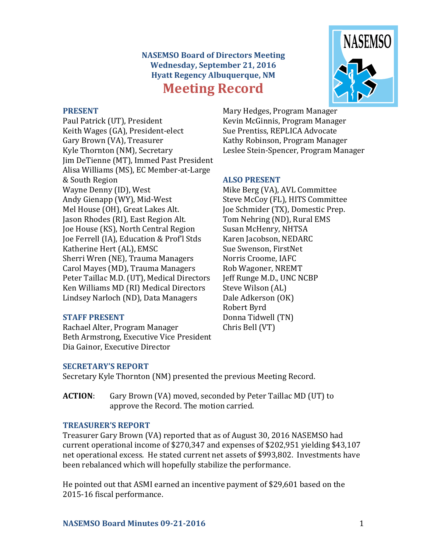# **NASEMSO Board of Directors Meeting Wednesday, September 21, 2016 Hyatt Regency Albuquerque, NM Meeting Record**



#### **PRESENT**

Paul Patrick (UT), President Keith Wages (GA), President-elect Gary Brown (VA), Treasurer Kyle Thornton (NM), Secretary Jim DeTienne (MT), Immed Past President Alisa Williams (MS), EC Member-at-Large & South Region Wayne Denny (ID), West Andy Gienapp (WY), Mid-West Mel House (OH), Great Lakes Alt. Jason Rhodes (RI), East Region Alt. Joe House (KS), North Central Region Joe Ferrell (IA), Education & Prof'l Stds Katherine Hert (AL), EMSC Sherri Wren (NE), Trauma Managers Carol Mayes (MD), Trauma Managers Peter Taillac M.D. (UT), Medical Directors Ken Williams MD (RI) Medical Directors Lindsey Narloch (ND), Data Managers

#### **STAFF PRESENT**

Rachael Alter, Program Manager Beth Armstrong, Executive Vice President Dia Gainor, Executive Director

Mary Hedges, Program Manager Kevin McGinnis, Program Manager Sue Prentiss, REPLICA Advocate Kathy Robinson, Program Manager Leslee Stein-Spencer, Program Manager

## **ALSO PRESENT**

Mike Berg (VA), AVL Committee Steve McCoy (FL), HITS Committee Joe Schmider (TX), Domestic Prep. Tom Nehring (ND), Rural EMS Susan McHenry, NHTSA Karen Jacobson, NEDARC Sue Swenson, FirstNet Norris Croome, IAFC Rob Wagoner, NREMT Jeff Runge M.D., UNC NCBP Steve Wilson (AL) Dale Adkerson (OK) Robert Byrd Donna Tidwell (TN) Chris Bell (VT)

## **SECRETARY'S REPORT**

Secretary Kyle Thornton (NM) presented the previous Meeting Record.

**ACTION**: Gary Brown (VA) moved, seconded by Peter Taillac MD (UT) to approve the Record. The motion carried.

# **TREASURER'S REPORT**

Treasurer Gary Brown (VA) reported that as of August 30, 2016 NASEMSO had current operational income of \$270,347 and expenses of \$202,951 yielding \$43,107 net operational excess. He stated current net assets of \$993,802. Investments have been rebalanced which will hopefully stabilize the performance.

He pointed out that ASMI earned an incentive payment of \$29,601 based on the 2015-16 fiscal performance.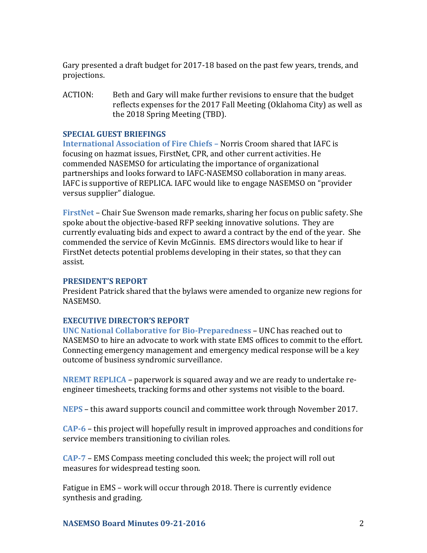Gary presented a draft budget for 2017-18 based on the past few years, trends, and projections.

ACTION: Beth and Gary will make further revisions to ensure that the budget reflects expenses for the 2017 Fall Meeting (Oklahoma City) as well as the 2018 Spring Meeting (TBD).

## **SPECIAL GUEST BRIEFINGS**

**International Association of Fire Chiefs –** Norris Croom shared that IAFC is focusing on hazmat issues, FirstNet, CPR, and other current activities. He commended NASEMSO for articulating the importance of organizational partnerships and looks forward to IAFC-NASEMSO collaboration in many areas. IAFC is supportive of REPLICA. IAFC would like to engage NASEMSO on "provider versus supplier" dialogue.

**FirstNet** – Chair Sue Swenson made remarks, sharing her focus on public safety. She spoke about the objective-based RFP seeking innovative solutions. They are currently evaluating bids and expect to award a contract by the end of the year. She commended the service of Kevin McGinnis. EMS directors would like to hear if FirstNet detects potential problems developing in their states, so that they can assist.

#### **PRESIDENT'S REPORT**

President Patrick shared that the bylaws were amended to organize new regions for NASEMSO.

## **EXECUTIVE DIRECTOR'S REPORT**

**UNC National Collaborative for Bio-Preparedness** – UNC has reached out to NASEMSO to hire an advocate to work with state EMS offices to commit to the effort. Connecting emergency management and emergency medical response will be a key outcome of business syndromic surveillance.

**NREMT REPLICA** – paperwork is squared away and we are ready to undertake reengineer timesheets, tracking forms and other systems not visible to the board.

**NEPS** – this award supports council and committee work through November 2017.

**CAP-6** – this project will hopefully result in improved approaches and conditions for service members transitioning to civilian roles.

**CAP-7** – EMS Compass meeting concluded this week; the project will roll out measures for widespread testing soon.

Fatigue in EMS – work will occur through 2018. There is currently evidence synthesis and grading.

# **NASEMSO Board Minutes 09-21-2016** 2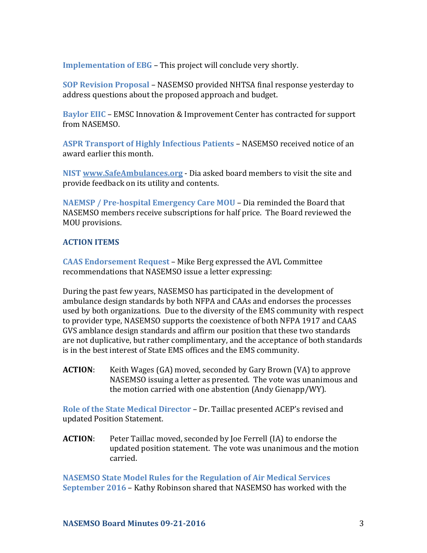**Implementation of EBG** – This project will conclude very shortly.

**SOP Revision Proposal** – NASEMSO provided NHTSA final response yesterday to address questions about the proposed approach and budget.

**Baylor EIIC** – EMSC Innovation & Improvement Center has contracted for support from NASEMSO.

**ASPR Transport of Highly Infectious Patients** – NASEMSO received notice of an award earlier this month.

**NIST [www.SafeAmbulances.org](http://www.safeambulances.org/)** - Dia asked board members to visit the site and provide feedback on its utility and contents.

**NAEMSP / Pre-hospital Emergency Care MOU** – Dia reminded the Board that NASEMSO members receive subscriptions for half price. The Board reviewed the MOU provisions.

# **ACTION ITEMS**

**CAAS Endorsement Request** – Mike Berg expressed the AVL Committee recommendations that NASEMSO issue a letter expressing:

During the past few years, NASEMSO has participated in the development of ambulance design standards by both NFPA and CAAs and endorses the processes used by both organizations. Due to the diversity of the EMS community with respect to provider type, NASEMSO supports the coexistence of both NFPA 1917 and CAAS GVS amblance design standards and affirm our position that these two standards are not duplicative, but rather complimentary, and the acceptance of both standards is in the best interest of State EMS offices and the EMS community.

**ACTION:** Keith Wages (GA) moved, seconded by Gary Brown (VA) to approve NASEMSO issuing a letter as presented. The vote was unanimous and the motion carried with one abstention (Andy Gienapp/WY).

**Role of the State Medical Director** – Dr. Taillac presented ACEP's revised and updated Position Statement.

**ACTION**: Peter Taillac moved, seconded by Joe Ferrell (IA) to endorse the updated position statement. The vote was unanimous and the motion carried.

**NASEMSO State Model Rules for the Regulation of Air Medical Services September 2016** – Kathy Robinson shared that NASEMSO has worked with the